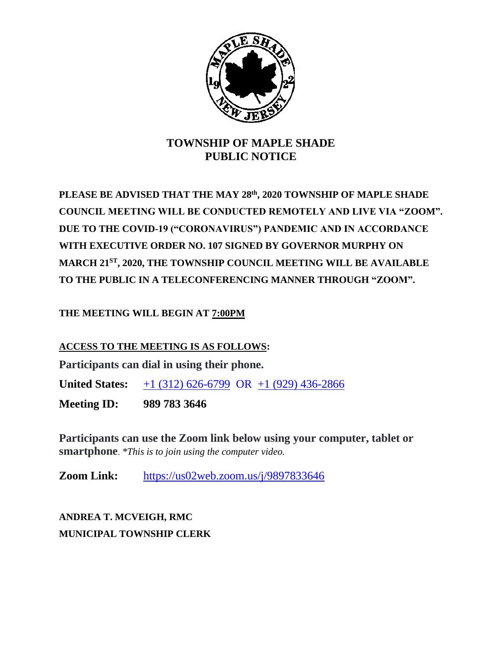

## **TOWNSHIP OF MAPLE SHADE PUBLIC NOTICE**

**PLEASE BE ADVISED THAT THE MAY 28th, 2020 TOWNSHIP OF MAPLE SHADE COUNCIL MEETING WILL BE CONDUCTED REMOTELY AND LIVE VIA "ZOOM". DUE TO THE COVID-19 ("CORONAVIRUS") PANDEMIC AND IN ACCORDANCE WITH EXECUTIVE ORDER NO. 107 SIGNED BY GOVERNOR MURPHY ON MARCH 21ST, 2020, THE TOWNSHIP COUNCIL MEETING WILL BE AVAILABLE TO THE PUBLIC IN A TELECONFERENCING MANNER THROUGH "ZOOM".**

**THE MEETING WILL BEGIN AT 7:00PM**

**ACCESS TO THE MEETING IS AS FOLLOWS:**

**Participants can dial in using their phone.**

**United States:** [+1 \(312\) 626-6799](tel:+16467493122,,718898005) OR +1 (929) 436-2866

**Meeting ID: 989 783 3646**

**Participants can use the Zoom link below using your computer, tablet or smartphone**. *\*This is to join using the computer video.*

**Zoom Link:** <https://us02web.zoom.us/j/9897833646>

**ANDREA T. MCVEIGH, RMC MUNICIPAL TOWNSHIP CLERK**